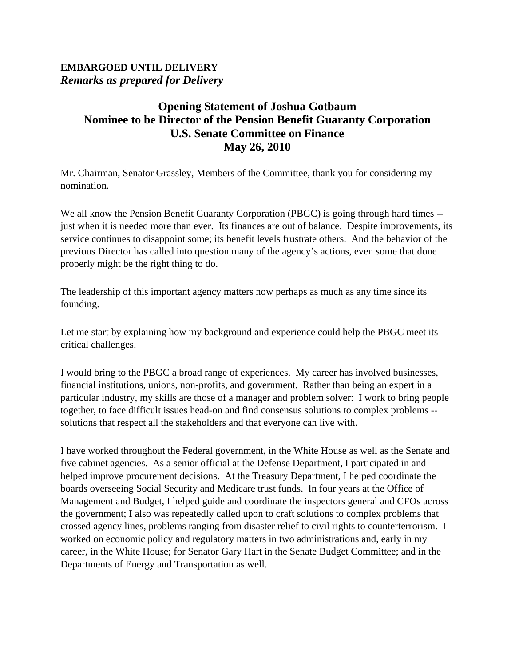## **EMBARGOED UNTIL DELIVERY**  *Remarks as prepared for Delivery*

## **Opening Statement of Joshua Gotbaum Nominee to be Director of the Pension Benefit Guaranty Corporation U.S. Senate Committee on Finance May 26, 2010**

Mr. Chairman, Senator Grassley, Members of the Committee, thank you for considering my nomination.

We all know the Pension Benefit Guaranty Corporation (PBGC) is going through hard times -just when it is needed more than ever. Its finances are out of balance. Despite improvements, its service continues to disappoint some; its benefit levels frustrate others. And the behavior of the previous Director has called into question many of the agency's actions, even some that done properly might be the right thing to do.

The leadership of this important agency matters now perhaps as much as any time since its founding.

Let me start by explaining how my background and experience could help the PBGC meet its critical challenges.

I would bring to the PBGC a broad range of experiences. My career has involved businesses, financial institutions, unions, non-profits, and government. Rather than being an expert in a particular industry, my skills are those of a manager and problem solver: I work to bring people together, to face difficult issues head-on and find consensus solutions to complex problems - solutions that respect all the stakeholders and that everyone can live with.

I have worked throughout the Federal government, in the White House as well as the Senate and five cabinet agencies. As a senior official at the Defense Department, I participated in and helped improve procurement decisions. At the Treasury Department, I helped coordinate the boards overseeing Social Security and Medicare trust funds. In four years at the Office of Management and Budget, I helped guide and coordinate the inspectors general and CFOs across the government; I also was repeatedly called upon to craft solutions to complex problems that crossed agency lines, problems ranging from disaster relief to civil rights to counterterrorism. I worked on economic policy and regulatory matters in two administrations and, early in my career, in the White House; for Senator Gary Hart in the Senate Budget Committee; and in the Departments of Energy and Transportation as well.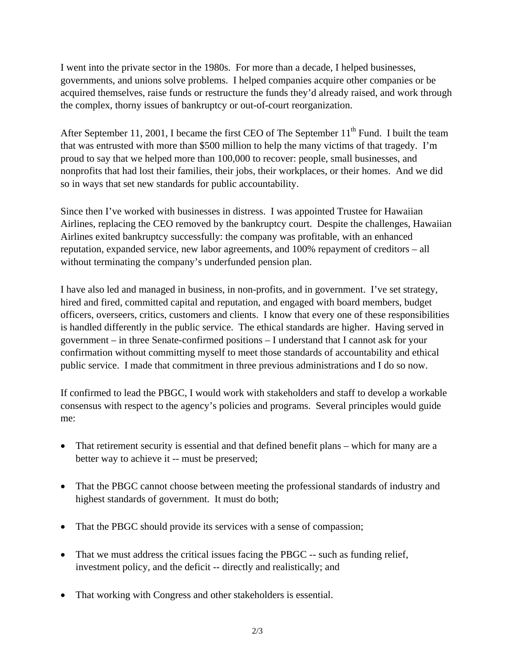I went into the private sector in the 1980s. For more than a decade, I helped businesses, governments, and unions solve problems. I helped companies acquire other companies or be acquired themselves, raise funds or restructure the funds they'd already raised, and work through the complex, thorny issues of bankruptcy or out-of-court reorganization.

After September 11, 2001, I became the first CEO of The September 11<sup>th</sup> Fund. I built the team that was entrusted with more than \$500 million to help the many victims of that tragedy. I'm proud to say that we helped more than 100,000 to recover: people, small businesses, and nonprofits that had lost their families, their jobs, their workplaces, or their homes. And we did so in ways that set new standards for public accountability.

Since then I've worked with businesses in distress. I was appointed Trustee for Hawaiian Airlines, replacing the CEO removed by the bankruptcy court. Despite the challenges, Hawaiian Airlines exited bankruptcy successfully: the company was profitable, with an enhanced reputation, expanded service, new labor agreements, and 100% repayment of creditors – all without terminating the company's underfunded pension plan.

I have also led and managed in business, in non-profits, and in government. I've set strategy, hired and fired, committed capital and reputation, and engaged with board members, budget officers, overseers, critics, customers and clients. I know that every one of these responsibilities is handled differently in the public service. The ethical standards are higher. Having served in government – in three Senate-confirmed positions – I understand that I cannot ask for your confirmation without committing myself to meet those standards of accountability and ethical public service. I made that commitment in three previous administrations and I do so now.

If confirmed to lead the PBGC, I would work with stakeholders and staff to develop a workable consensus with respect to the agency's policies and programs. Several principles would guide me:

- That retirement security is essential and that defined benefit plans which for many are a better way to achieve it -- must be preserved;
- That the PBGC cannot choose between meeting the professional standards of industry and highest standards of government. It must do both;
- That the PBGC should provide its services with a sense of compassion;
- That we must address the critical issues facing the PBGC -- such as funding relief, investment policy, and the deficit -- directly and realistically; and
- That working with Congress and other stakeholders is essential.